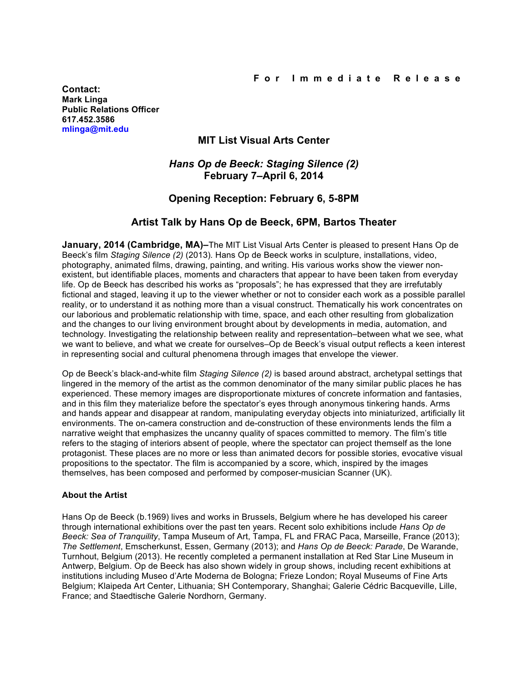**Contact: Mark Linga Public Relations Officer [617.452.3586](tel:6174523586) [mlinga@mit.edu](mailto:mlinga@mit.edu)**

## **MIT List Visual Arts Center**

## *Hans Op de Beeck: Staging Silence (2)* **February 7–April 6, 2014**

# **Opening Reception: February 6, 5-8PM**

### **Artist Talk by Hans Op de Beeck, 6PM, Bartos Theater**

**January, 2014 (Cambridge, MA)–**The MIT List Visual Arts Center is pleased to present Hans Op de Beeck's film *Staging Silence (2)* (2013)*.* Hans Op de Beeck works in sculpture, installations, video, photography, animated films, drawing, painting, and writing. His various works show the viewer nonexistent, but identifiable places, moments and characters that appear to have been taken from everyday life. Op de Beeck has described his works as "proposals"; he has expressed that they are irrefutably fictional and staged, leaving it up to the viewer whether or not to consider each work as a possible parallel reality, or to understand it as nothing more than a visual construct. Thematically his work concentrates on our laborious and problematic relationship with time, space, and each other resulting from globalization and the changes to our living environment brought about by developments in media, automation, and technology. Investigating the relationship between reality and representation–between what we see, what we want to believe, and what we create for ourselves–Op de Beeck's visual output reflects a keen interest in representing social and cultural phenomena through images that envelope the viewer.

Op de Beeck's black-and-white film *Staging Silence (2)* is based around abstract, archetypal settings that lingered in the memory of the artist as the common denominator of the many similar public places he has experienced. These memory images are disproportionate mixtures of concrete information and fantasies, and in this film they materialize before the spectator's eyes through anonymous tinkering hands. Arms and hands appear and disappear at random, manipulating everyday objects into miniaturized, artificially lit environments. The on-camera construction and de-construction of these environments lends the film a narrative weight that emphasizes the uncanny quality of spaces committed to memory. The film's title refers to the staging of interiors absent of people, where the spectator can project themself as the lone protagonist. These places are no more or less than animated decors for possible stories, evocative visual propositions to the spectator. The film is accompanied by a score, which, inspired by the images themselves, has been composed and performed by composer-musician Scanner (UK).

### **About the Artist**

Hans Op de Beeck (b.1969) lives and works in Brussels, Belgium where he has developed his career through international exhibitions over the past ten years. Recent solo exhibitions include *Hans Op de Beeck: Sea of Tranquility*, Tampa Museum of Art, Tampa, FL and FRAC Paca, Marseille, France (2013); *The Settlement*, Emscherkunst, Essen, Germany (2013); and *Hans Op de Beeck: Parade*, De Warande, Turnhout, Belgium (2013). He recently completed a permanent installation at Red Star Line Museum in Antwerp, Belgium. Op de Beeck has also shown widely in group shows, including recent exhibitions at institutions including Museo d'Arte Moderna de Bologna; Frieze London; Royal Museums of Fine Arts Belgium; Klaipeda Art Center, Lithuania; SH Contemporary, Shanghai; Galerie Cédric Bacqueville, Lille, France; and Staedtische Galerie Nordhorn, Germany.